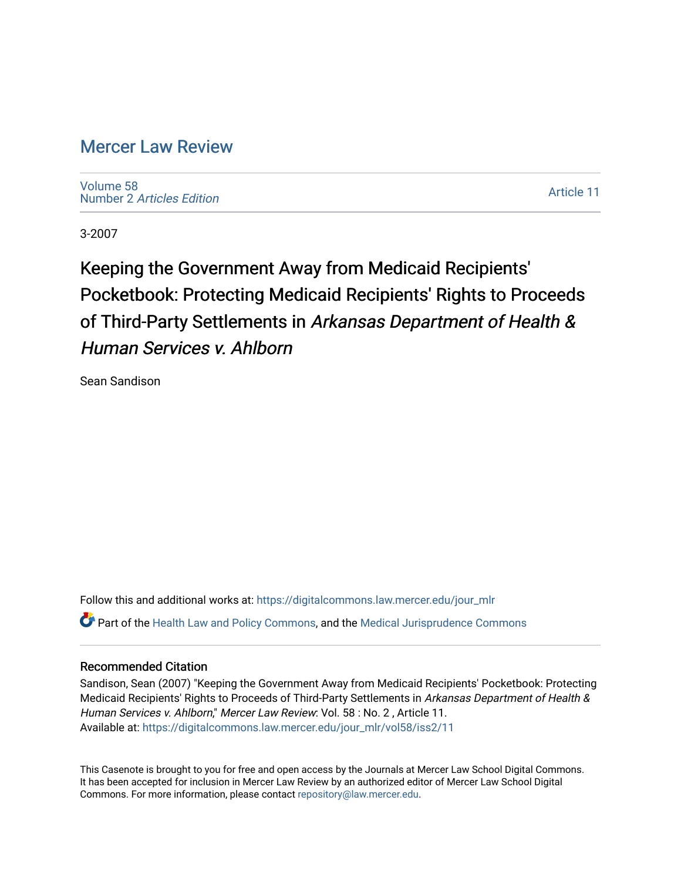## [Mercer Law Review](https://digitalcommons.law.mercer.edu/jour_mlr)

[Volume 58](https://digitalcommons.law.mercer.edu/jour_mlr/vol58) Number 2 [Articles Edition](https://digitalcommons.law.mercer.edu/jour_mlr/vol58/iss2) 

[Article 11](https://digitalcommons.law.mercer.edu/jour_mlr/vol58/iss2/11) 

3-2007

Keeping the Government Away from Medicaid Recipients' Pocketbook: Protecting Medicaid Recipients' Rights to Proceeds of Third-Party Settlements in Arkansas Department of Health & Human Services v. Ahlborn

Sean Sandison

Follow this and additional works at: [https://digitalcommons.law.mercer.edu/jour\\_mlr](https://digitalcommons.law.mercer.edu/jour_mlr?utm_source=digitalcommons.law.mercer.edu%2Fjour_mlr%2Fvol58%2Fiss2%2F11&utm_medium=PDF&utm_campaign=PDFCoverPages) Part of the [Health Law and Policy Commons](http://network.bepress.com/hgg/discipline/901?utm_source=digitalcommons.law.mercer.edu%2Fjour_mlr%2Fvol58%2Fiss2%2F11&utm_medium=PDF&utm_campaign=PDFCoverPages), and the [Medical Jurisprudence Commons](http://network.bepress.com/hgg/discipline/860?utm_source=digitalcommons.law.mercer.edu%2Fjour_mlr%2Fvol58%2Fiss2%2F11&utm_medium=PDF&utm_campaign=PDFCoverPages) 

## Recommended Citation

Sandison, Sean (2007) "Keeping the Government Away from Medicaid Recipients' Pocketbook: Protecting Medicaid Recipients' Rights to Proceeds of Third-Party Settlements in Arkansas Department of Health & Human Services v. Ahlborn," Mercer Law Review: Vol. 58 : No. 2 , Article 11. Available at: [https://digitalcommons.law.mercer.edu/jour\\_mlr/vol58/iss2/11](https://digitalcommons.law.mercer.edu/jour_mlr/vol58/iss2/11?utm_source=digitalcommons.law.mercer.edu%2Fjour_mlr%2Fvol58%2Fiss2%2F11&utm_medium=PDF&utm_campaign=PDFCoverPages) 

This Casenote is brought to you for free and open access by the Journals at Mercer Law School Digital Commons. It has been accepted for inclusion in Mercer Law Review by an authorized editor of Mercer Law School Digital Commons. For more information, please contact [repository@law.mercer.edu.](mailto:repository@law.mercer.edu)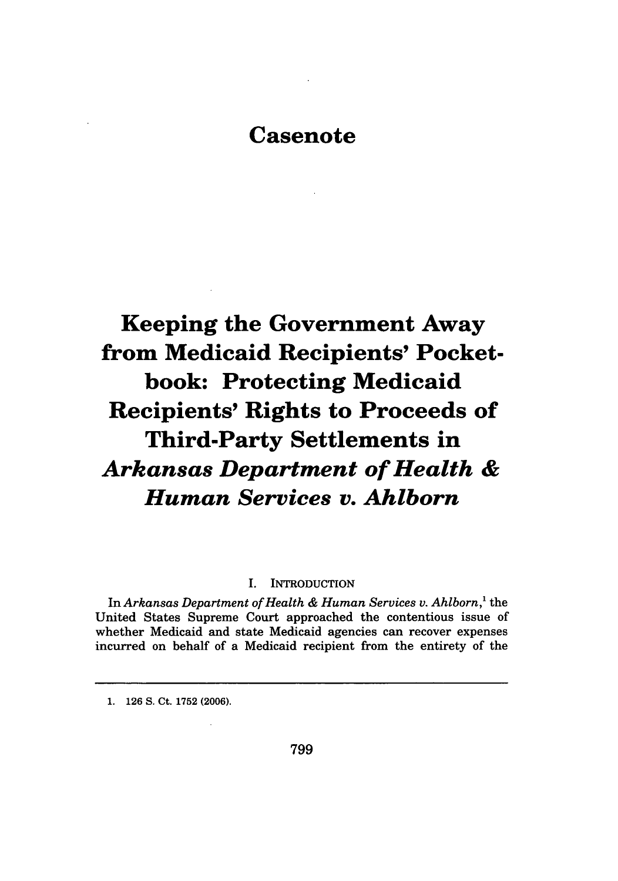# **Casenote**

**Keeping the Government Away from Medicaid Recipients' Pocketbook: Protecting Medicaid Recipients' Rights to Proceeds of Third-Party Settlements in** *Arkansas Department of Health & Human Services v. Ahlborn*

## **I. INTRODUCTION**

In *Arkansas Department of Health & Human Services v. Ahlborn,'* the United States Supreme Court approached the contentious issue of whether Medicaid and state Medicaid agencies can recover expenses incurred on behalf of a Medicaid recipient from the entirety of the

**1. 126 S.** Ct. **1752 (2006).**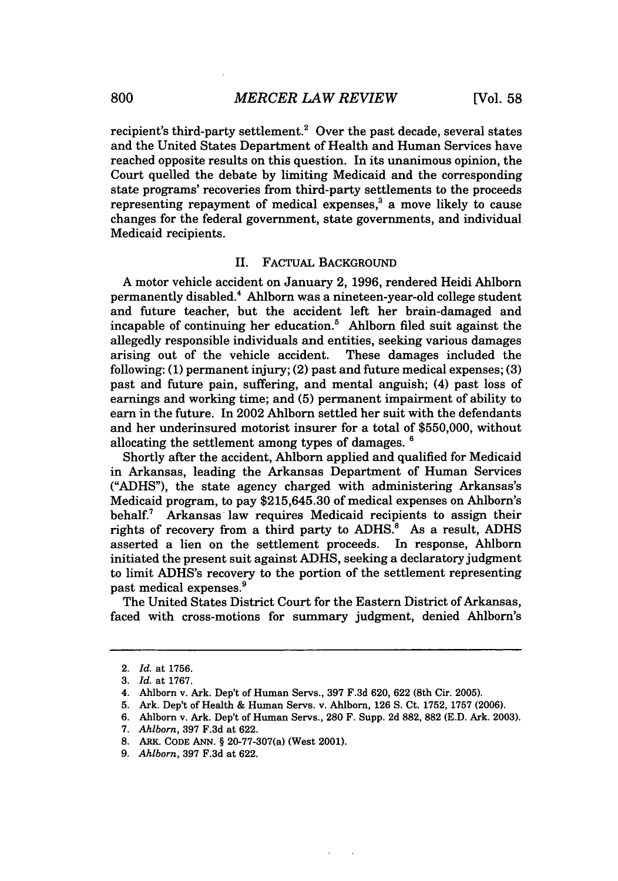recipient's third-party settlement.<sup>2</sup> Over the past decade, several states and the United States Department of Health and Human Services have reached opposite results on this question. In its unanimous opinion, the Court quelled the debate by limiting Medicaid and the corresponding state programs' recoveries from third-party settlements to the proceeds representing repayment of medical expenses, $3$  a move likely to cause changes for the federal government, state governments, and individual Medicaid recipients.

### II. FACTUAL BACKGROUND

A motor vehicle accident on January 2, **1996,** rendered Heidi Ahlborn permanently disabled.4 Ahlborn was a nineteen-year-old college student and future teacher, but the accident left her brain-damaged and incapable of continuing her education.' Ahlborn filed suit against the allegedly responsible individuals and entities, seeking various damages arising out of the vehicle accident. These damages included the following: **(1)** permanent injury; (2) past and future medical expenses; **(3)** past and future pain, suffering, and mental anguish; (4) past loss of earnings and working time; and **(5)** permanent impairment of ability to earn in the future. In 2002 Ahlborn settled her suit with the defendants and her underinsured motorist insurer for a total of \$550,000, without allocating the settlement among types of damages. **<sup>6</sup>**

Shortly after the accident, Ahlborn applied and qualified for Medicaid in Arkansas, leading the Arkansas Department of Human Services ("ADHS"), the state agency charged with administering Arkansas's Medicaid program, to pay **\$215,645.30** of medical expenses on Ahlborn's behalf.7 Arkansas law requires Medicaid recipients to assign their rights of recovery from a third party to  $ADHS$ <sup>8</sup>. As a result,  $ADHS$ asserted a lien on the settlement proceeds. In response, Ahlborn initiated the present suit against ADHS, seeking a declaratory judgment to limit ADHS's recovery to the portion of the settlement representing past medical expenses.<sup>9</sup>

The United States District Court for the Eastern District of Arkansas, faced with cross-motions for summary judgment, denied Ahlborn's

<sup>2.</sup> *Id.* at 1756.

<sup>3.</sup> *Id.* at 1767.

<sup>4.</sup> Ahlborn v. Ark. Dep't of Human Servs., 397 F.3d 620, 622 (8th Cir. 2005).

<sup>5.</sup> Ark. Dep't of Health & Human Servs. v. Ahlborn, 126 S. Ct. 1752, 1757 (2006).

<sup>6.</sup> Ahlborn v. Ark. Dep't of Human Servs., 280 F. Supp. 2d 882, 882 (E.D. Ark. 2003).

<sup>7.</sup> *Ahlborn,* 397 F.3d at 622.

<sup>8.</sup> ARK CODE ANN. § 20-77-307(a) (West 2001).

<sup>9.</sup> *Ahlborn,* 397 F.3d at 622.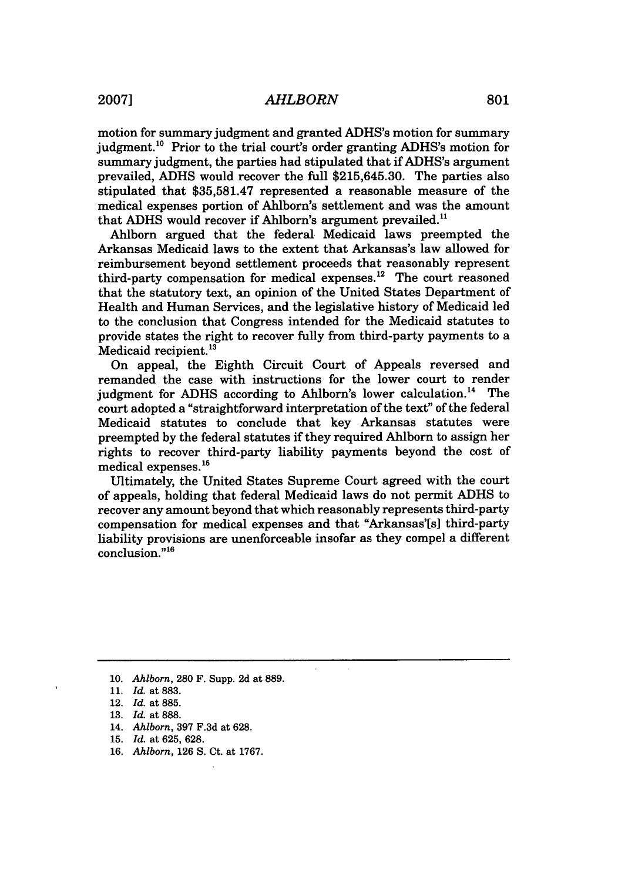motion for summary judgment and granted ADHS's motion for summary judgment.<sup>10</sup> Prior to the trial court's order granting ADHS's motion for summary judgment, the parties had stipulated that if ADHS's argument prevailed, ADHS would recover the full \$215,645.30. The parties also stipulated that \$35,581.47 represented a reasonable measure of the medical expenses portion of Ahlborn's settlement and was the amount that ADHS would recover if Ahlborn's argument prevailed."

Ahlborn argued that the federal Medicaid laws preempted the Arkansas Medicaid laws to the extent that Arkansas's law allowed for reimbursement beyond settlement proceeds that reasonably represent third-party compensation for medical expenses.<sup>12</sup> The court reasoned that the statutory text, an opinion of the United States Department of Health and Human Services, and the legislative history of Medicaid led to the conclusion that Congress intended for the Medicaid statutes to provide states the right to recover fully from third-party payments to a Medicaid recipient.<sup>13</sup>

On appeal, the Eighth Circuit Court of Appeals reversed and remanded the case with instructions for the lower court to render judgment for ADHS according to Ahlborn's lower calculation.<sup>14</sup> The court adopted a "straightforward interpretation of the text" of the federal Medicaid statutes to conclude that key Arkansas statutes were preempted by the federal statutes if they required Ahlborn to assign her rights to recover third-party liability payments beyond the cost of medical expenses.<sup>15</sup>

Ultimately, the United States Supreme Court agreed with the court of appeals, holding that federal Medicaid laws do not permit ADHS to recover any amount beyond that which reasonably represents third-party compensation for medical expenses and that "Arkansas'[s] third-party liability provisions are unenforceable insofar as they compel a different conclusion."<sup>16</sup>

**<sup>10.</sup>** *Ahlborn,* **280** F. Supp. **2d** at **889.**

**<sup>11.</sup>** *Id.* at **883.**

<sup>12.</sup> *Id.* at 885.

<sup>13.</sup> *Id.* at 888.

<sup>14.</sup> *Ahlborn,* 397 F.3d at 628.

<sup>15.</sup> *Id.* at 625, 628.

<sup>16.</sup> *Ahlborn,* 126 S. Ct. at 1767.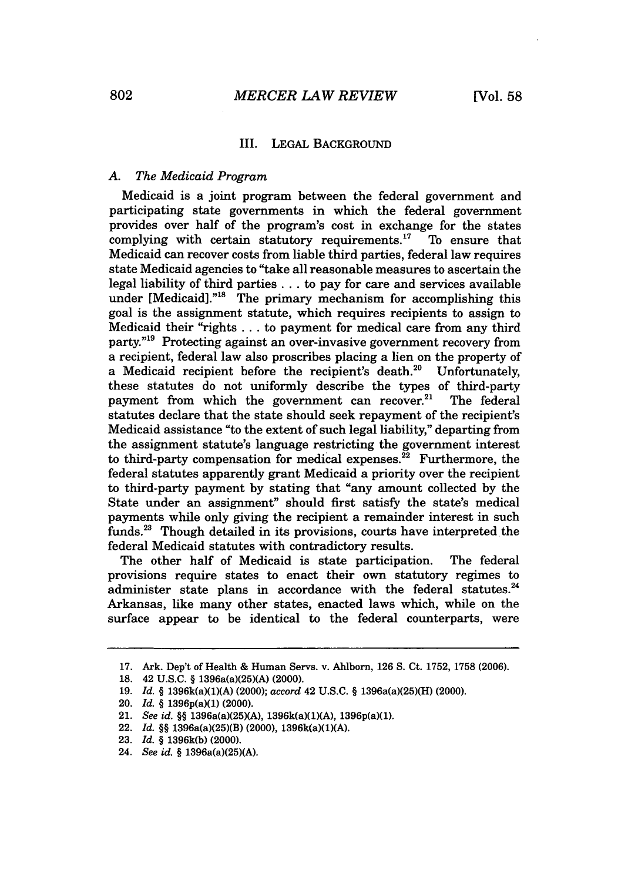#### III. **LEGAL BACKGROUND**

## *A. The Medicaid Program*

Medicaid is a joint program between the federal government and participating state governments in which the federal government provides over half of the program's cost in exchange for the states complying with certain statutory requirements.<sup>17</sup> To ensure that complying with certain statutory requirements. $17$ Medicaid can recover costs from liable third parties, federal law requires state Medicaid agencies to "take all reasonable measures to ascertain the legal liability of third parties **...** to pay for care and services available under [Medicaid]."<sup>18</sup> The primary mechanism for accomplishing this goal is the assignment statute, which requires recipients to assign to Medicaid their "rights ... to payment for medical care from any third party."<sup>19</sup> Protecting against an over-invasive government recovery from a recipient, federal law also proscribes placing a lien on the property of a Medicaid recipient before the recipient's death.<sup>20</sup> Unfortunately, these statutes do not uniformly describe the types of third-party payment from which the government can recover. $21$ The federal statutes declare that the state should seek repayment of the recipient's Medicaid assistance "to the extent of such legal liability," departing from the assignment statute's language restricting the government interest to third-party compensation for medical expenses. $^{22}$  Furthermore, the federal statutes apparently grant Medicaid a priority over the recipient to third-party payment by stating that "any amount collected by the State under an assignment" should first satisfy the state's medical payments while only giving the recipient a remainder interest in such funds.23 Though detailed in its provisions, courts have interpreted the federal Medicaid statutes with contradictory results.

The other half of Medicaid is state participation. The federal provisions require states to enact their own statutory regimes to administer state plans in accordance with the federal statutes. $24$ Arkansas, like many other states, enacted laws which, while on the surface appear to be identical to the federal counterparts, were

<sup>17.</sup> Ark. Dep't of Health & Human Servs. v. Ahlborn, 126 S. Ct. 1752, 1758 (2006).

<sup>18. 42</sup> U.S.C. § 1396a(a)(25)(A) (2000).

**<sup>19.</sup>** *Id. §* 1396k(a)(1)(A) (2000); *accord* 42 U.S.C. § 1396a(a)(25)(H) (2000).

<sup>20.</sup> *Id. §* 1396p(a)(1) (2000).

<sup>21.</sup> *See id. §§* 1396a(a)(25)(A), 1396k(a)(1)(A), 1396p(a)(1).

**<sup>22.</sup>** *Id. §§* 1396a(a)(25)(B) (2000), 1396k(a)(1)(A).

<sup>23.</sup> *Id. §* 1396k(b) (2000).

<sup>24.</sup> *See id. §* 1396a(a)(25)(A).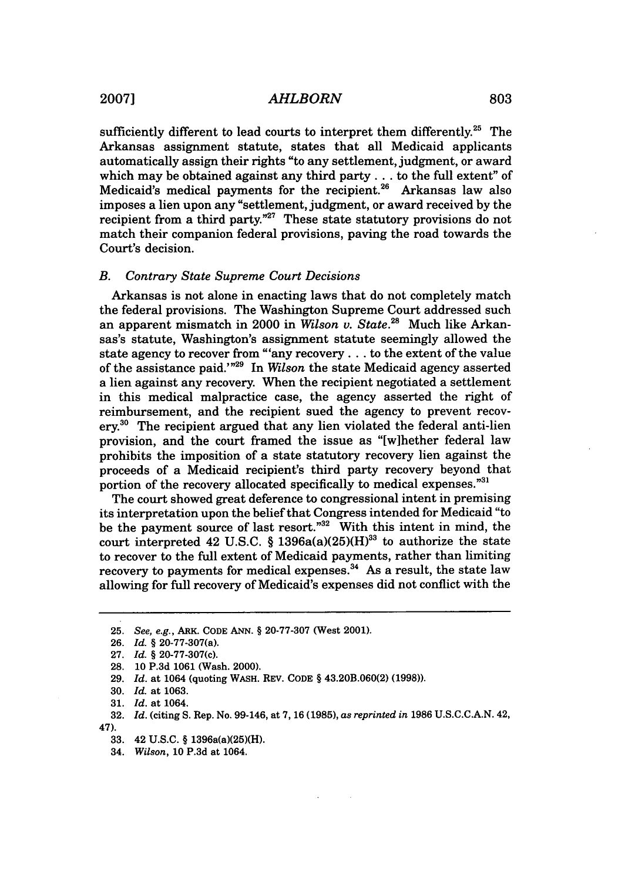sufficiently different to lead courts to interpret them differently.<sup>25</sup> The Arkansas assignment statute, states that all Medicaid applicants automatically assign their rights "to any settlement, judgment, or award which may be obtained against any third party... to the full extent" of Medicaid's medical payments for the recipient.<sup>26</sup> Arkansas law also imposes a lien upon any "settlement, judgment, or award received by the recipient from a third party."<sup>27</sup> These state statutory provisions do not match their companion federal provisions, paving the road towards the Court's decision.

#### *B. Contrary State Supreme Court Decisions*

Arkansas is not alone in enacting laws that do not completely match the federal provisions. The Washington Supreme Court addressed such an apparent mismatch in 2000 in *Wilson v. State.*<sup>28</sup> Much like Arkansas's statute, Washington's assignment statute seemingly allowed the state agency to recover from "'any recovery **...** to the extent of the value of the assistance paid.'"29 In *Wilson* the state Medicaid agency asserted a lien against any recovery. When the recipient negotiated a settlement in this medical malpractice case, the agency asserted the right of reimbursement, and the recipient sued the agency to prevent recov $erv<sup>30</sup>$  The recipient argued that any lien violated the federal anti-lien provision, and the court framed the issue as "[w]hether federal law prohibits the imposition of a state statutory recovery lien against the proceeds of a Medicaid recipient's third party recovery beyond that portion of the recovery allocated specifically to medical expenses."31

The court showed great deference to congressional intent in premising its interpretation upon the belief that Congress intended for Medicaid "to be the payment source of last resort."<sup>32</sup> With this intent in mind, the court interpreted 42 U.S.C. § 1396a(a)(25)(H)<sup>33</sup> to authorize the state to recover to the full extent of Medicaid payments, rather than limiting recovery to payments for medical expenses.<sup>34</sup> As a result, the state law allowing for full recovery of Medicaid's expenses did not conflict with the

**29.** *Id.* at 1064 (quoting WASH. REV. **CODE** § 43.20B.060(2) **(1998)).**

**<sup>25.</sup>** *See, e.g.,* ARK. CODE ANN. § 20-77-307 (West 2001).

**<sup>26.</sup>** *Id.* § 20-77-307(a).

<sup>27.</sup> *Id.* § 20-77-307(c).

**<sup>28. 10</sup> P.3d 1061** (Wash. 2000).

**<sup>30.</sup>** *Id.* at **1063.**

**<sup>31.</sup>** *Id.* at 1064.

**<sup>32.</sup>** *Id.* (citing **S.** Rep. No. 99-146, at **7, 16 (1985),** *as reprinted in* 1986 **U.S.C.C.A.N.** 42, 47).

**<sup>33.</sup>** 42 **U.S.C.** § 1396a(a)(25)(H).

<sup>34.</sup> *Wilson,* **10 P.3d** at 1064.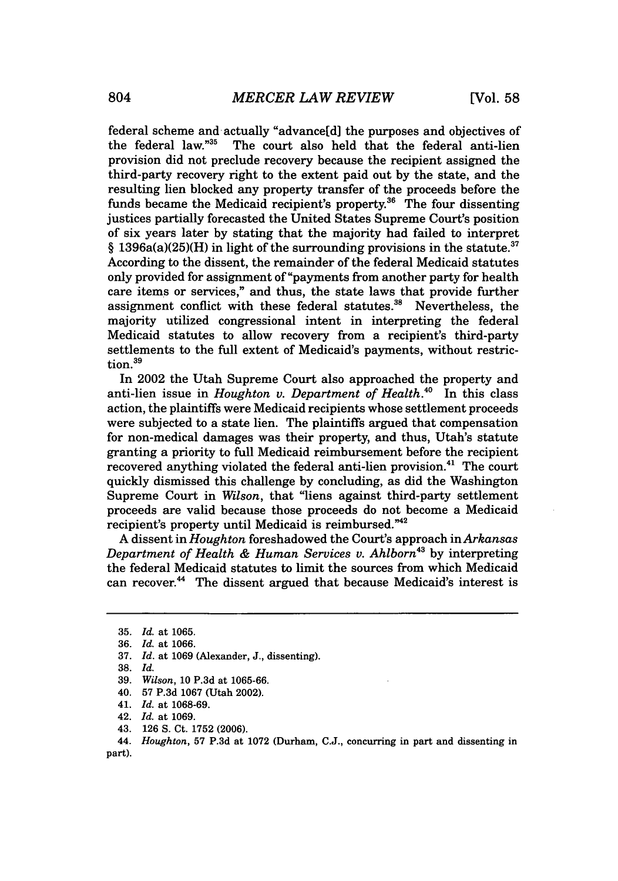federal scheme and actually "advance[d] the purposes and objectives of The court also held that the federal anti-lien provision did not preclude recovery because the recipient assigned the third-party recovery right to the extent paid out by the state, and the resulting lien blocked any property transfer of the proceeds before the funds became the Medicaid recipient's property. $36$  The four dissenting justices partially forecasted the United States Supreme Court's position of six years later by stating that the majority had failed to interpret § 1396a(a)(25)(H) in light of the surrounding provisions in the statute.<sup>37</sup> According to the dissent, the remainder of the federal Medicaid statutes only provided for assignment of "payments from another party for health care items or services," and thus, the state laws that provide further assignment conflict with these federal statutes." Nevertheless, the majority utilized congressional intent in interpreting the federal Medicaid statutes to allow recovery from a recipient's third-party settlements to the full extent of Medicaid's payments, without restriction.<sup>39</sup>

In 2002 the Utah Supreme Court also approached the property and anti-lien issue in *Houghton v. Department of Health*.<sup>40</sup> In this class action, the plaintiffs were Medicaid recipients whose settlement proceeds were subjected to a state lien. The plaintiffs argued that compensation for non-medical damages was their property, and thus, Utah's statute granting a priority to full Medicaid reimbursement before the recipient recovered anything violated the federal anti-lien provision.<sup>41</sup> The court quickly dismissed this challenge by concluding, as did the Washington Supreme Court in *Wilson,* that "liens against third-party settlement proceeds are valid because those proceeds do not become a Medicaid recipient's property until Medicaid is reimbursed."<sup>42</sup>

A dissent in *Houghton* foreshadowed the Court's approach in *Arkansas Department of Health & Human Services v. Ahlborn*<sup>43</sup> by interpreting the federal Medicaid statutes to limit the sources from which Medicaid can recover.<sup>44</sup> The dissent argued that because Medicaid's interest is

<sup>35.</sup> *Id.* at 1065.

<sup>36.</sup> *Id.* at 1066.

<sup>37.</sup> *Id.* at 1069 (Alexander, J., dissenting).

<sup>38.</sup> *Id.*

<sup>39.</sup> *Wilson,* 10 P.3d at 1065-66.

<sup>40. 57</sup> P.3d 1067 (Utah 2002).

<sup>41.</sup> *Id.* at 1068-69.

<sup>42.</sup> *Id.* at 1069.

<sup>43. 126</sup> S. Ct. 1752 (2006).

<sup>44.</sup> *Houghton,* 57 P.3d at 1072 (Durham, C.J., concurring in part and dissenting in part).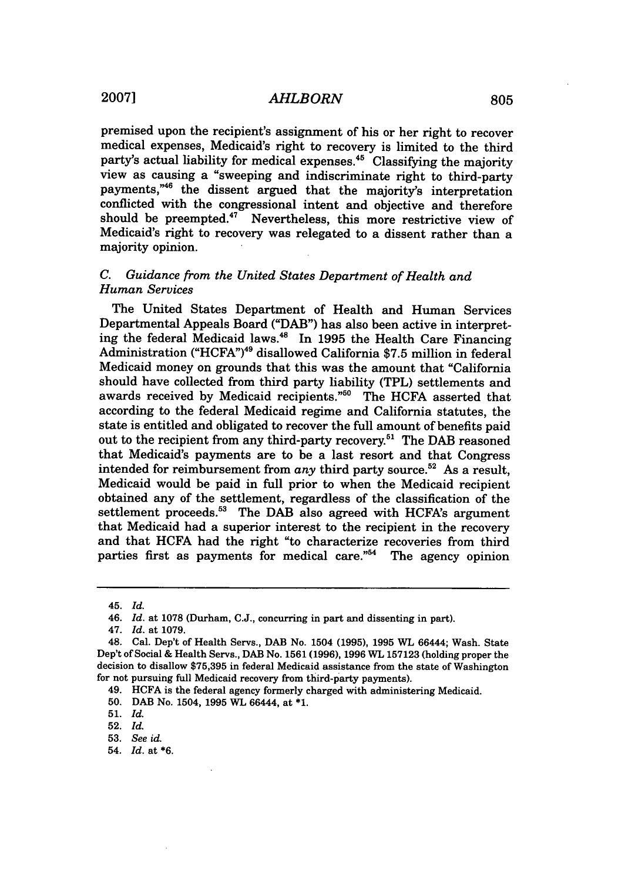premised upon the recipient's assignment of his or her right to recover medical expenses, Medicaid's right to recovery is limited to the third party's actual liability for medical expenses.45 Classifying the majority view as causing a "sweeping and indiscriminate right to third-party payments,"46 the dissent argued that the majority's interpretation conflicted with the congressional intent and objective and therefore should be preempted.<sup>47</sup> Nevertheless, this more restrictive view of Medicaid's right to recovery was relegated to a dissent rather than a majority opinion.

## *C. Guidance from the United States Department of Health and Human Services*

The United States Department of Health and Human Services Departmental Appeals Board ("DAB") has also been active in interpreting the federal Medicaid laws.<sup>48</sup> In 1995 the Health Care Financing Administration ("HCFA')49 disallowed California \$7.5 million in federal Medicaid money on grounds that this was the amount that "California should have collected from third party liability (TPL) settlements and awards received by Medicaid recipients."<sup>50</sup> The HCFA asserted that according to the federal Medicaid regime and California statutes, the state is entitled and obligated to recover the full amount of benefits paid out to the recipient from any third-party recovery.<sup>51</sup> The DAB reasoned that Medicaid's payments are to be a last resort and that Congress intended for reimbursement from *any* third party source.<sup>52</sup> As a result, Medicaid would be paid in full prior to when the Medicaid recipient obtained any of the settlement, regardless of the classification of the settlement proceeds.<sup>53</sup> The DAB also agreed with HCFA's argument that Medicaid had a superior interest to the recipient in the recovery and that HCFA had the right "to characterize recoveries from third parties first as payments for medical care. $1/54$  The agency opinion

54. *Id.* at **\*6.**

<sup>45.</sup> *Id.*

<sup>46.</sup> *Id.* at **1078** (Durham, **C.J.,** concurring in part and dissenting in **part).**

<sup>47.</sup> *Id.* at **1079.**

<sup>48.</sup> Cal. Dep't of Health Servs., DAB No. 1504 **(1995), 1995** WL 66444; Wash. State Dep't of Social **&** Health Servs., DAB No. **1561 (1996), 1996 WL 157123** (holding proper the decision to disallow **\$75,395** in federal Medicaid assistance from the state of Washington for not pursuing full Medicaid recovery from third-party payments).

<sup>49.</sup> **HCFA** is the federal agency formerly charged with administering Medicaid.

**<sup>50.</sup>** DAB No. 1504, **1995** WL 66444, at **\*1.**

**<sup>51.</sup>** *Id.*

**<sup>52.</sup>** *Id.*

**<sup>53.</sup>** *See id.*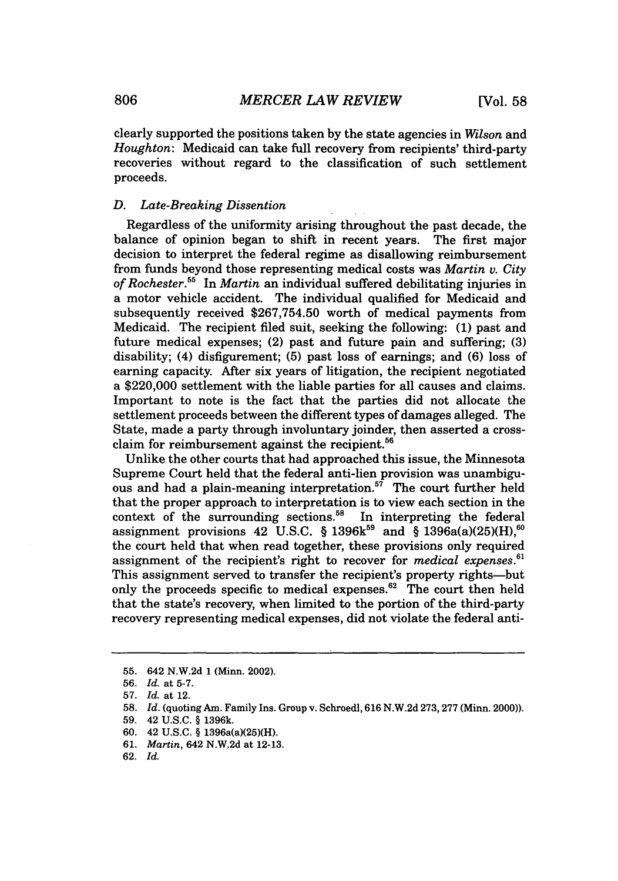clearly supported the positions taken by the state agencies in *Wilson* and *Houghton:* Medicaid can take full recovery from recipients' third-party recoveries without regard to the classification of such settlement proceeds.

## *D. Late-Breaking Dissention*

Regardless of the uniformity arising throughout the past decade, the balance of opinion began to shift in recent years. The first major decision to interpret the federal regime as disallowing reimbursement from funds beyond those representing medical costs was *Martin v. City of Rochester.55* In *Martin* an individual suffered debilitating injuries in a motor vehicle accident. The individual qualified for Medicaid and subsequently received \$267,754.50 worth of medical payments from Medicaid. The recipient filed suit, seeking the following: (1) past and future medical expenses; (2) past and future pain and suffering; (3) disability; (4) disfigurement; (5) past loss of earnings; and (6) loss of earning capacity. After six years of litigation, the recipient negotiated a \$220,000 settlement with the liable parties for all causes and claims. Important to note is the fact that the parties did not allocate the settlement proceeds between the different types of damages alleged. The State, made a party through involuntary joinder, then asserted a crossclaim for reimbursement against the recipient.<sup>56</sup>

Unlike the other courts that had approached this issue, the Minnesota Supreme Court held that the federal anti-lien provision was unambiguous and had a plain-meaning interpretation.<sup>57</sup> The court further held that the proper approach to interpretation is to view each section in the context of the surrounding sections.<sup>58</sup> In interpreting the federal assignment provisions 42 U.S.C. § 1396 $k^{59}$  and § 1396a(a)(25)(H),<sup>60</sup> the court held that when read together, these provisions only required assignment of the recipient's right to recover for *medical expenses.6'* This assignment served to transfer the recipient's property rights--but only the proceeds specific to medical expenses. $62$  The court then held that the state's recovery, when limited to the portion of the third-party recovery representing medical expenses, did not violate the federal anti-

<sup>55. 642</sup> N.W.2d 1 (Minn. 2002).

<sup>56.</sup> *Id.* at 5-7.

<sup>57.</sup> *Id.* at 12.

<sup>58.</sup> *Id.* (quoting Am. Family Ins. Group v. Schroedl, 616 N.W.2d 273,277 (Minn. 2000)).

<sup>59. 42</sup> U.S.C. § 1396k.

<sup>60. 42</sup> U.S.C. § 1396a(a)(25)(H).

<sup>61.</sup> *Martin,* 642 N.W.2d at 12-13.

<sup>62.</sup> *Id.*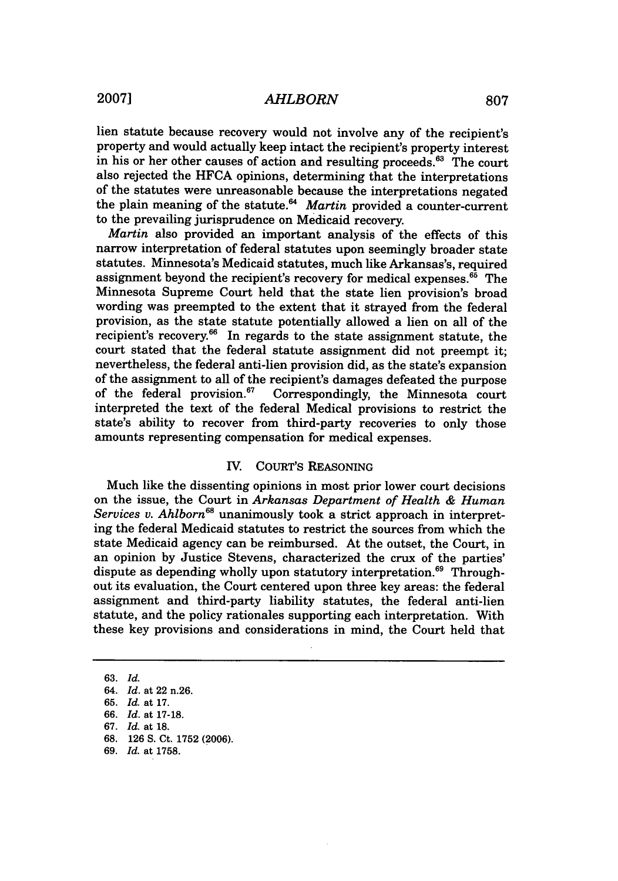lien statute because recovery would not involve any of the recipient's property and would actually keep intact the recipient's property interest in his or her other causes of action and resulting proceeds. $63$  The court also rejected the HFCA opinions, determining that the interpretations of the statutes were unreasonable because the interpretations negated the plain meaning of the statute.<sup>64</sup> Martin provided a counter-current to the prevailing jurisprudence on Medicaid recovery.

*Martin* also provided an important analysis of the effects of this narrow interpretation of federal statutes upon seemingly broader state statutes. Minnesota's Medicaid statutes, much like Arkansas's, required assignment beyond the recipient's recovery for medical expenses.<sup>65</sup> The Minnesota Supreme Court held that the state lien provision's broad wording was preempted to the extent that it strayed from the federal provision, as the state statute potentially allowed a lien on all of the recipient's recovery.<sup>66</sup> In regards to the state assignment statute, the court stated that the federal statute assignment did not preempt it; nevertheless, the federal anti-lien provision did, as the state's expansion of the assignment to all of the recipient's damages defeated the purpose<br>of the federal provision.<sup>67</sup> Correspondingly, the Minnesota court Correspondingly, the Minnesota court interpreted the text of the federal Medical provisions to restrict the state's ability to recover from third-party recoveries to only those amounts representing compensation for medical expenses.

## IV. COURT'S REASONING

Much like the dissenting opinions in most prior lower court decisions on the issue, the Court in *Arkansas Department of Health & Human Services v. Ahlborn68* unanimously took a strict approach in interpreting the federal Medicaid statutes to restrict the sources from which the state Medicaid agency can be reimbursed. At the outset, the Court, in an opinion by Justice Stevens, characterized the crux of the parties' dispute as depending wholly upon statutory interpretation.<sup>69</sup> Throughout its evaluation, the Court centered upon three key areas: the federal assignment and third-party liability statutes, the federal anti-lien statute, and the policy rationales supporting each interpretation. With these key provisions and considerations in mind, the Court held that

**63.** *Id.*

- 66. *Id.* at 17-18.
- **67.** *Id.* at 18.
- 68. 126 **S.** Ct. 1752 (2006).
- **69.** *Id.* at 1758.

<sup>64.</sup> *Id.* at 22 n.26.

**<sup>65.</sup>** *Id.* at 17.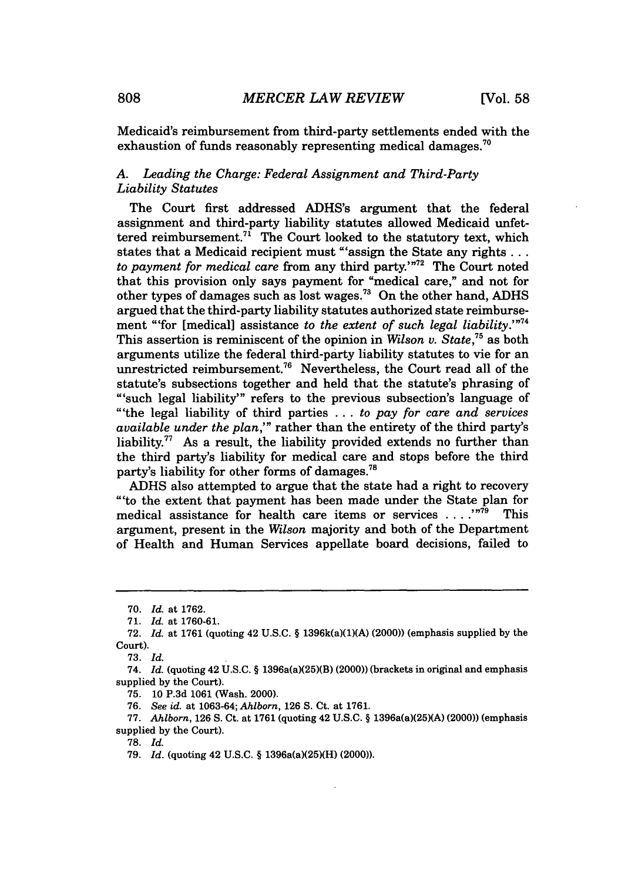Medicaid's reimbursement from third-party settlements ended with the exhaustion of funds reasonably representing medical damages.<sup>70</sup>

## *A. Leading the Charge: Federal Assignment and Third-Party Liability Statutes*

The Court first addressed ADHS's argument that the federal assignment and third-party liability statutes allowed Medicaid unfettered reimbursement.<sup>71</sup> The Court looked to the statutory text, which states that a Medicaid recipient must "'assign the State any rights... to payment for medical care from any third party.'<sup>"72</sup> The Court noted that this provision only says payment for "medical care," and not for other types of damages such as lost wages.73 On the other hand, ADHS argued that the third-party liability statutes authorized state reimbursement "'for [medical] assistance *to the extent of such legal liability.'"7 <sup>4</sup>* This assertion is reminiscent of the opinion in *Wilson v. State*<sup>75</sup> as both arguments utilize the federal third-party liability statutes to vie for an unrestricted reimbursement.<sup>76</sup> Nevertheless, the Court read all of the statute's subsections together and held that the statute's phrasing of "'such legal liability"' refers to the previous subsection's language of "'the legal liability of third parties **...** *to pay for care and services available under the plan,'"* rather than the entirety of the third party's liability.<sup>77</sup> As a result, the liability provided extends no further than the third party's liability for medical care and stops before the third party's liability for other forms of damages.<sup>78</sup>

ADHS also attempted to argue that the state had a right to recovery "'to the extent that payment has been made under the State plan for medical assistance for health care items or services . **. . ,"7** This argument, present in the *Wilson* majority and both of the Department of Health and Human Services appellate board decisions, failed to

78. *Id.*

<sup>70.</sup> *Id.* at 1762.

<sup>71.</sup> *Id.* at 1760-61.

<sup>72.</sup> *Id.* at 1761 (quoting 42 U.S.C. § 1396k(a)(1)(A) (2000)) (emphasis supplied by the Court).

**<sup>73.</sup>** Id.

<sup>74.</sup> *Id.* (quoting 42 **U.S.C.** § 1396a(a)(25)(B) (2000)) (brackets in original and emphasis supplied **by** the Court).

**<sup>75. 10</sup> P.3d 1061** (Wash. 2000).

**<sup>76.</sup>** *See id.* at **1063-64;** *Ahlborn,* **126 S.** Ct. at **1761.**

**<sup>77.</sup>** *Ahlborn,* **126 S.** Ct. at **1761** (quoting 42 **U.S.C.** § 1396a(a)(25)(A) (2000)) (emphasis supplied **by** the Court).

<sup>79.</sup> *Id.* (quoting 42 U.S.C. § 1396a(a)(25)(H) (2000)).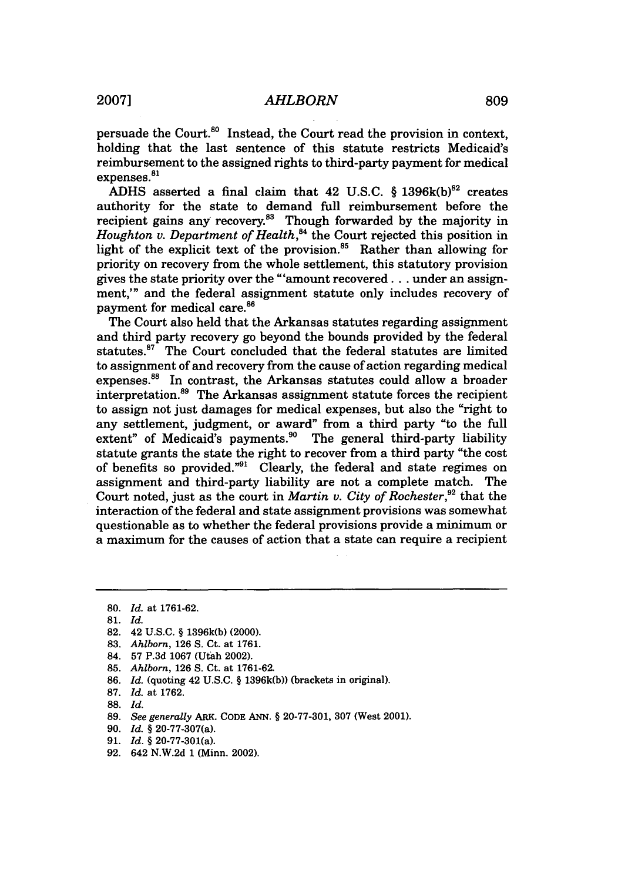persuade the Court. $80$  Instead, the Court read the provision in context, holding that the last sentence of this statute restricts Medicaid's reimbursement to the assigned rights to third-party payment for medical expenses.<sup>81</sup>

ADHS asserted a final claim that 42 U.S.C.  $§$  1396k(b)<sup>82</sup> creates authority for the state to demand full reimbursement before the recipient gains any recovery.<sup>83</sup> Though forwarded by the majority in *Houghton v. Department of Health*,<sup>84</sup> the Court rejected this position in light of the explicit text of the provision.<sup>85</sup> Rather than allowing for priority on recovery from the whole settlement, this statutory provision gives the state priority over the "'amount recovered... under an assignment," and the federal assignment statute only includes recovery of payment for medical care.<sup>86</sup>

The Court also held that the Arkansas statutes regarding assignment and third party recovery go beyond the bounds provided by the federal statutes.87 The Court concluded that the federal statutes are limited to assignment of and recovery from the cause of action regarding medical expenses.88 In contrast, the Arkansas statutes could allow a broader interpretation.<sup>89</sup> The Arkansas assignment statute forces the recipient to assign not just damages for medical expenses, but also the "right to any settlement, judgment, or award" from a third party "to the full extent" of Medicaid's payments.<sup>90</sup> The general third-party liability statute grants the state the right to recover from a third party "the cost of benefits so provided."91 Clearly, the federal and state regimes on assignment and third-party liability are not a complete match. The Court noted, just as the court in *Martin v. City of Rochester*,<sup>92</sup> that the interaction of the federal and state assignment provisions was somewhat questionable as to whether the federal provisions provide a minimum or a maximum for the causes of action that a state can require a recipient

83. *Ahlborn,* 126 S. Ct. at 1761.

- 85. *Ahlborn,* 126 S. Ct. at 1761-62.
- 86. *Id.* (quoting 42 U.S.C. § 1396k(b)) (brackets in original).
- 87. *Id.* at 1762.
- **88.** Id.

92. 642 N.W.2d 1 (Minn. 2002).

<sup>80.</sup> *Id.* at 1761-62.

**<sup>81.</sup>** Id.

<sup>82.</sup> 42 U.S.C. § 1396k(b) (2000).

<sup>84.</sup> 57 P.3d 1067 (Utah 2002).

<sup>89.</sup> *See generally* ARK. CODE **ANN.** § 20-77-301, 307 (West 2001).

<sup>90.</sup> *Id.* § 20-77-307(a).

<sup>91.</sup> *Id.* § 20-77-301(a).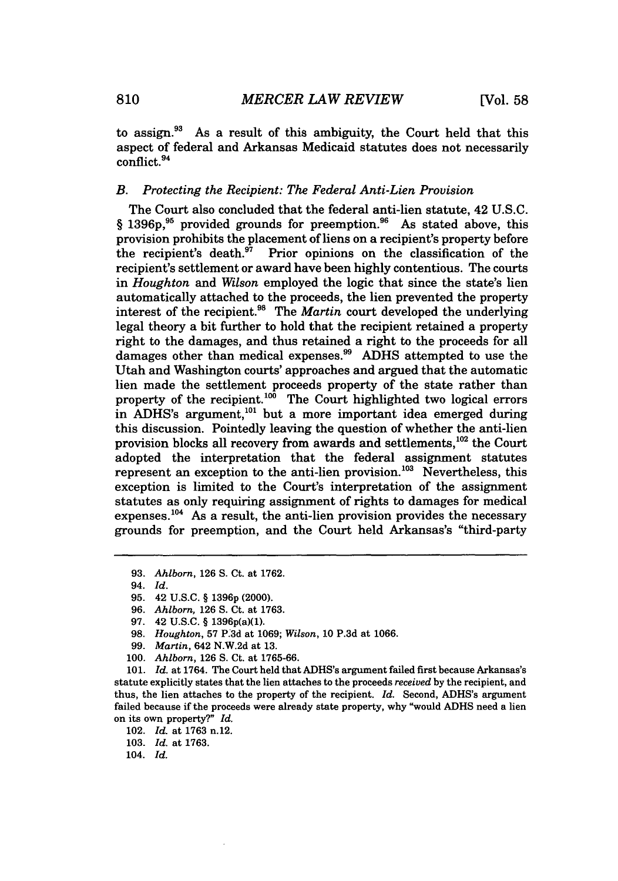to assign. $93$  As a result of this ambiguity, the Court held that this aspect of federal and Arkansas Medicaid statutes does not necessarily conflict. <sup>94</sup>

## *B. Protecting the Recipient: The Federal Anti-Lien Provision*

The Court also concluded that the federal anti-lien statute, 42 U.S.C.  $§$  1396p,<sup>95</sup> provided grounds for preemption.<sup>96</sup> As stated above, this provision prohibits the placement of liens on a recipient's property before the recipient's death.<sup>97</sup> Prior opinions on the classification of the recipient's settlement or award have been highly contentious. The courts in *Houghton and Wilson* employed the logic that since the state's lien automatically attached to the proceeds, the lien prevented the property interest of the recipient.<sup>98</sup> The *Martin* court developed the underlying legal theory a bit further to hold that the recipient retained a property right to the damages, and thus retained a right to the proceeds for all damages other than medical expenses.<sup>99</sup> ADHS attempted to use the Utah and Washington courts' approaches and argued that the automatic lien made the settlement proceeds property of the state rather than property of the recipient.<sup>100</sup> The Court highlighted two logical errors in ADHS's argument,<sup>101</sup> but a more important idea emerged during this discussion. Pointedly leaving the question of whether the anti-lien provision blocks all recovery from awards and settlements,<sup>102</sup> the Court adopted the interpretation that the federal assignment statutes represent an exception to the anti-lien provision.<sup>103</sup> Nevertheless, this exception is limited to the Court's interpretation of the assignment statutes as only requiring assignment of rights to damages for medical expenses.<sup>104</sup> As a result, the anti-lien provision provides the necessary grounds for preemption, and the Court held Arkansas's "third-party

94. *Id.*

- 96. *Ahlborn,* 126 S. Ct. at 1763.
- 97. 42 U.S.C. § 1396p(a)(1).
- 98. *Houghton,* 57 P.3d at 1069; *Wilson,* 10 P.3d at 1066.
- 99. *Martin,* 642 **N.W.2d** at **13.**
- **100.** *Ahlborn,* **126 S.** Ct. at **1765-66.**

**101.** *Id.* at 1764. The Court held that ADHS's argument failed first because Arkansas's statute explicitly states that the lien attaches to the proceeds *received* by the recipient, and thus, the lien attaches to the property of the recipient. *Id.* Second, ADHS's argument failed because if the proceeds were already state property, why "would ADHS need a lien on its own property?" *Id.*

104. *Id.*

**<sup>93.</sup>** *Ahlborn,* 126 S. Ct. at **1762.**

<sup>95. 42</sup> U.S.C. § **<sup>13</sup> <sup>9</sup> <sup>6</sup> p** (2000).

<sup>102.</sup> *Id.* at 1763 n.12.

<sup>103.</sup> *Id.* at 1763.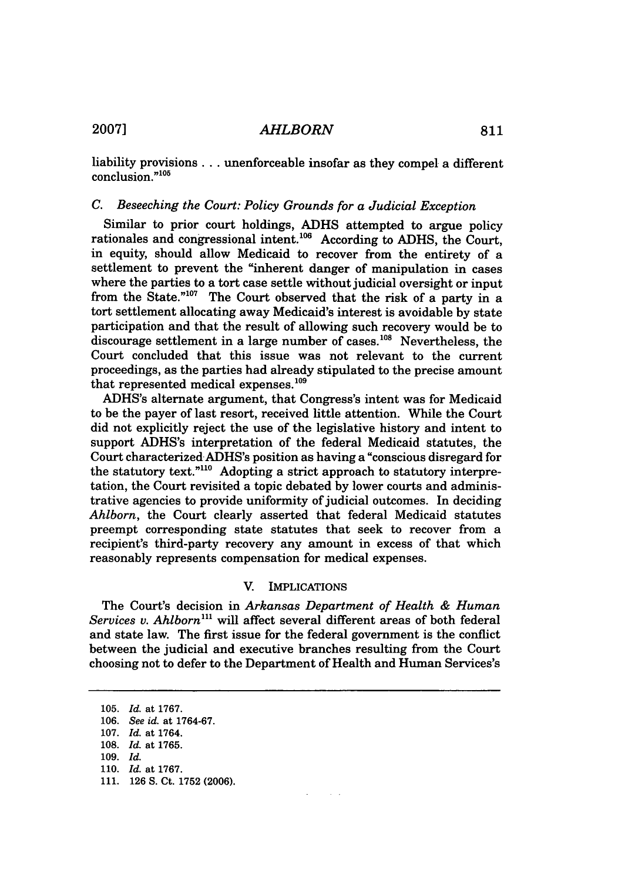liability provisions **..** unenforceable insofar as they compel a different  $conclusion.^{n105}$ 

## *C. Beseeching the Court: Policy Grounds for a Judicial Exception*

Similar to prior court holdings, ADHS attempted to argue policy rationales and congressional intent.<sup>106</sup> According to ADHS, the Court, in equity, should allow Medicaid to recover from the entirety of a settlement to prevent the "inherent danger of manipulation in cases where the parties to a tort case settle without judicial oversight or input from the State." $107$  The Court observed that the risk of a party in a tort settlement allocating away Medicaid's interest is avoidable by state participation and that the result of allowing such recovery would be to discourage settlement in a large number of cases.<sup>108</sup> Nevertheless, the Court concluded that this issue was not relevant to the current proceedings, as the parties had already stipulated to the precise amount that represented medical expenses. $109$ 

ADHS's alternate argument, that Congress's intent was for Medicaid to be the payer of last resort, received little attention. While the Court did not explicitly reject the use of the legislative history and intent to support ADHS's interpretation of the federal Medicaid statutes, the Court characterized ADHS's position as having a "conscious disregard for the statutory text."<sup>110</sup> Adopting a strict approach to statutory interpretation, the Court revisited a topic debated by lower courts and administrative agencies to provide uniformity of judicial outcomes. In deciding *Ahlborn,* the Court clearly asserted that federal Medicaid statutes preempt corresponding state statutes that seek to recover from a recipient's third-party recovery any amount in excess of that which reasonably represents compensation for medical expenses.

## V. IMPLICATIONS

The Court's decision in *Arkansas Department of Health & Human Services v. Ahlborn"'* will affect several different areas of both federal and state law. The first issue for the federal government is the conflict between the judicial and executive branches resulting from the Court choosing not to defer to the Department of Health and Human Services's

<sup>105.</sup> *Id.* at 1767. 106. *See id.* at 1764-67. 107. *Id.* at 1764. 108. *Id.* at 1765. 109. *Id.* 110. *Id.* at 1767. 111. 126 S. Ct. 1752 (2006).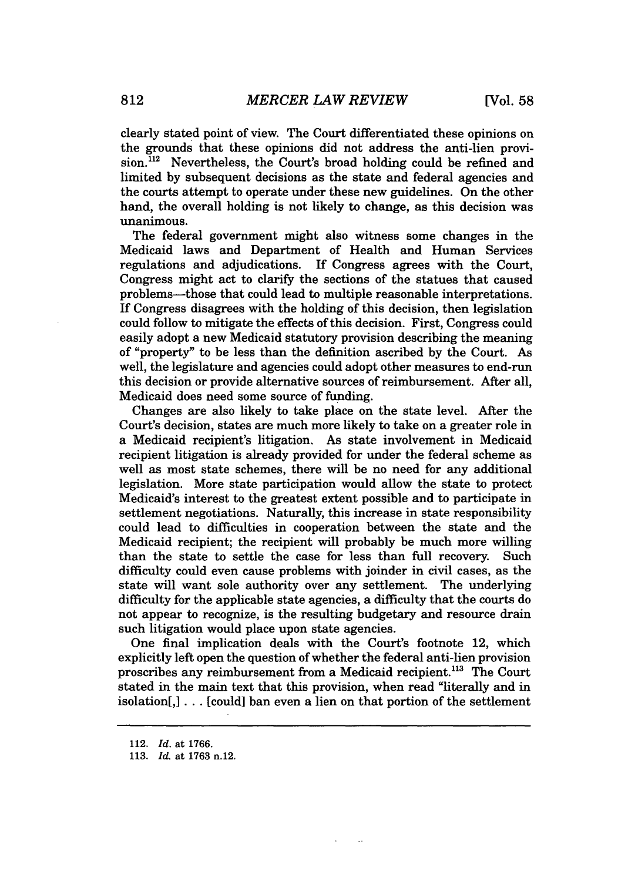clearly stated point of view. The Court differentiated these opinions on the grounds that these opinions did not address the anti-lien provision.<sup>112</sup> Nevertheless, the Court's broad holding could be refined and limited by subsequent decisions as the state and federal agencies and the courts attempt to operate under these new guidelines. On the other hand, the overall holding is not likely to change, as this decision was unanimous.

The federal government might also witness some changes in the Medicaid laws and Department of Health and Human Services regulations and adjudications. If Congress agrees with the Court, Congress might act to clarify the sections of the statues that caused problems-those that could lead to multiple reasonable interpretations. If Congress disagrees with the holding of this decision, then legislation could follow to mitigate the effects of this decision. First, Congress could easily adopt a new Medicaid statutory provision describing the meaning of "property" to be less than the definition ascribed by the Court. As well, the legislature and agencies could adopt other measures to end-run this decision or provide alternative sources of reimbursement. After all, Medicaid does need some source of funding.

Changes are also likely to take place on the state level. After the Court's decision, states are much more likely to take on a greater role in a Medicaid recipient's litigation. As state involvement in Medicaid recipient litigation is already provided for under the federal scheme as well as most state schemes, there will be no need for any additional legislation. More state participation would allow the state to protect Medicaid's interest to the greatest extent possible and to participate in settlement negotiations. Naturally, this increase in state responsibility could lead to difficulties in cooperation between the state and the Medicaid recipient; the recipient will probably be much more willing than the state to settle the case for less than full recovery. Such difficulty could even cause problems with joinder in civil cases, as the state will want sole authority over any settlement. The underlying difficulty for the applicable state agencies, a difficulty that the courts do not appear to recognize, is the resulting budgetary and resource drain such litigation would place upon state agencies.

One final implication deals with the Court's footnote 12, which explicitly left open the question of whether the federal anti-lien provision proscribes any reimbursement from a Medicaid recipient.<sup>113</sup> The Court stated in the main text that this provision, when read "literally and in isolation[,] ... [could] ban even a lien on that portion of the settlement

 $\ddot{\phantom{a}}$ 

<sup>112.</sup> *Id.* at **1766.**

**<sup>113.</sup>** *Id.* at 1763 n.12.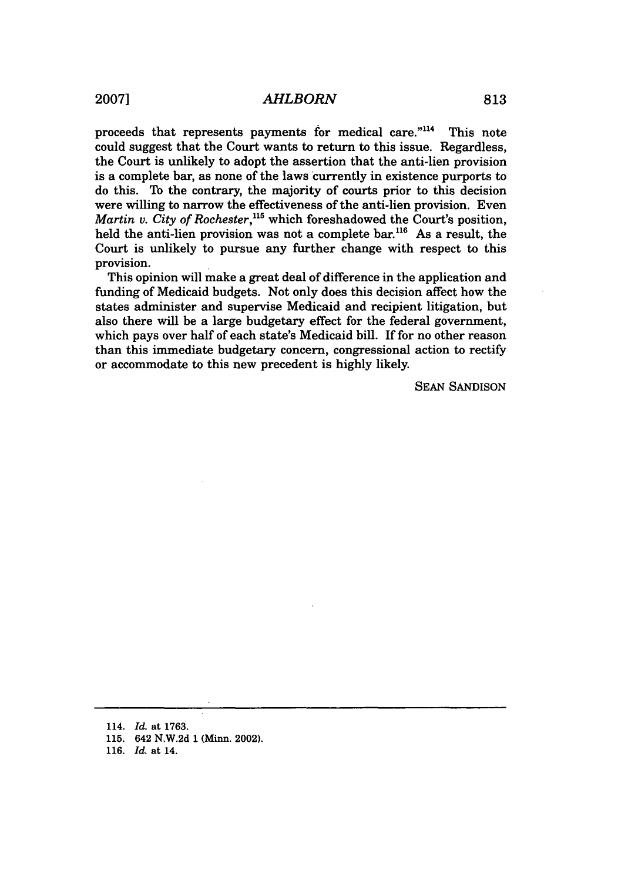proceeds that represents payments for medical care."<sup>114</sup> This note could suggest that the Court wants to return to this issue. Regardless, the Court is unlikely to adopt the assertion that the anti-lien provision is a complete bar, as none of the laws currently in existence purports to do this. To the contrary, the majority of courts prior to this decision were willing to narrow the effectiveness of the anti-lien provision. Even *Martin v. City of Rochester*,<sup>115</sup> which foreshadowed the Court's position, held the anti-lien provision was not a complete bar.<sup>116</sup> As a result, the Court is unlikely to pursue any further change with respect to this provision.

This opinion will make a great deal of difference in the application and funding of Medicaid budgets. Not only does this decision affect how the states administer and supervise Medicaid and recipient litigation, but also there will be a large budgetary effect for the federal government, which pays over half of each state's Medicaid bill. If for no other reason than this immediate budgetary concern, congressional action to rectify or accommodate to this new precedent is highly likely.

SEAN SANDISON

- **114.** *Id.* **at 1763.**
- **115. 642 N.W.2d 1 (Minn. 2002).**
- **116.** *Id.* at **14.**